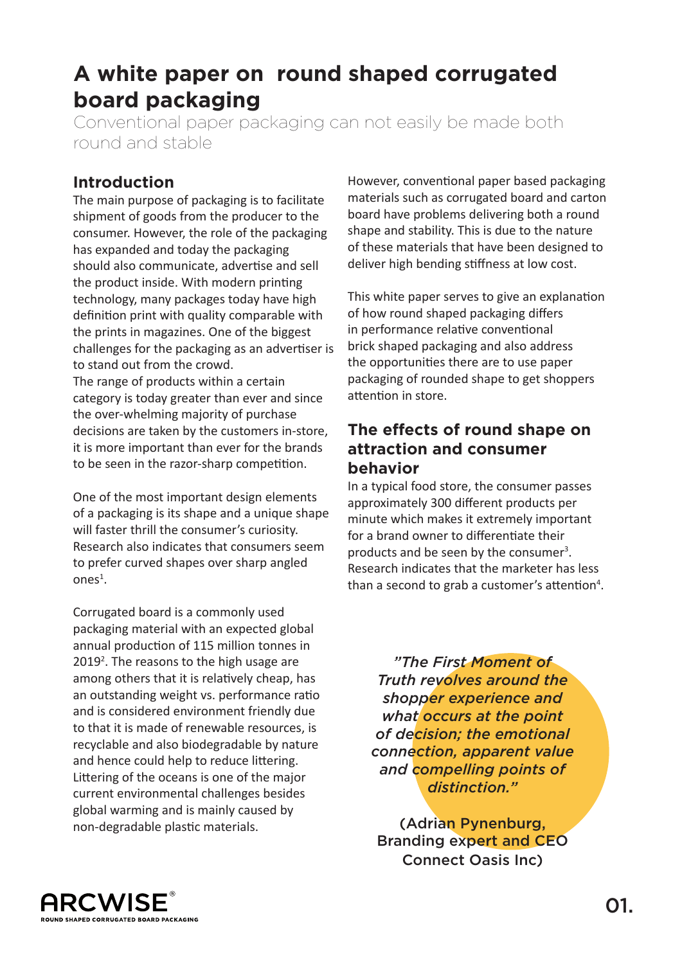# **A white paper on round shaped corrugated board packaging**

Conventional paper packaging can not easily be made both round and stable

#### **Introduction**

The main purpose of packaging is to facilitate shipment of goods from the producer to the consumer. However, the role of the packaging has expanded and today the packaging should also communicate, advertise and sell the product inside. With modern printing technology, many packages today have high definition print with quality comparable with the prints in magazines. One of the biggest challenges for the packaging as an advertiser is to stand out from the crowd.

The range of products within a certain category is today greater than ever and since the over-whelming majority of purchase decisions are taken by the customers in-store, it is more important than ever for the brands to be seen in the razor-sharp competition.

One of the most important design elements of a packaging is its shape and a unique shape will faster thrill the consumer's curiosity. Research also indicates that consumers seem to prefer curved shapes over sharp angled ones<sup>1</sup>.

Corrugated board is a commonly used packaging material with an expected global annual production of 115 million tonnes in 2019<sup>2</sup>. The reasons to the high usage are among others that it is relatively cheap, has an outstanding weight vs. performance ratio and is considered environment friendly due to that it is made of renewable resources, is recyclable and also biodegradable by nature and hence could help to reduce littering. Littering of the oceans is one of the major current environmental challenges besides global warming and is mainly caused by non-degradable plastic materials.

However, conventional paper based packaging materials such as corrugated board and carton board have problems delivering both a round shape and stability. This is due to the nature of these materials that have been designed to deliver high bending stiffness at low cost.

This white paper serves to give an explanation of how round shaped packaging differs in performance relative conventional brick shaped packaging and also address the opportunities there are to use paper packaging of rounded shape to get shoppers attention in store.

#### **The effects of round shape on attraction and consumer behavior**

In a typical food store, the consumer passes approximately 300 different products per minute which makes it extremely important for a brand owner to differentiate their products and be seen by the consumer<sup>3</sup>. Research indicates that the marketer has less than a second to grab a customer's attention<sup>4</sup>.

*"The First Moment of Truth revolves around the shopper experience and what occurs at the point of decision; the emotional connection, apparent value and compelling points of distinction."* 

(Adrian Pynenburg, Branding expert and CEO Connect Oasis Inc)

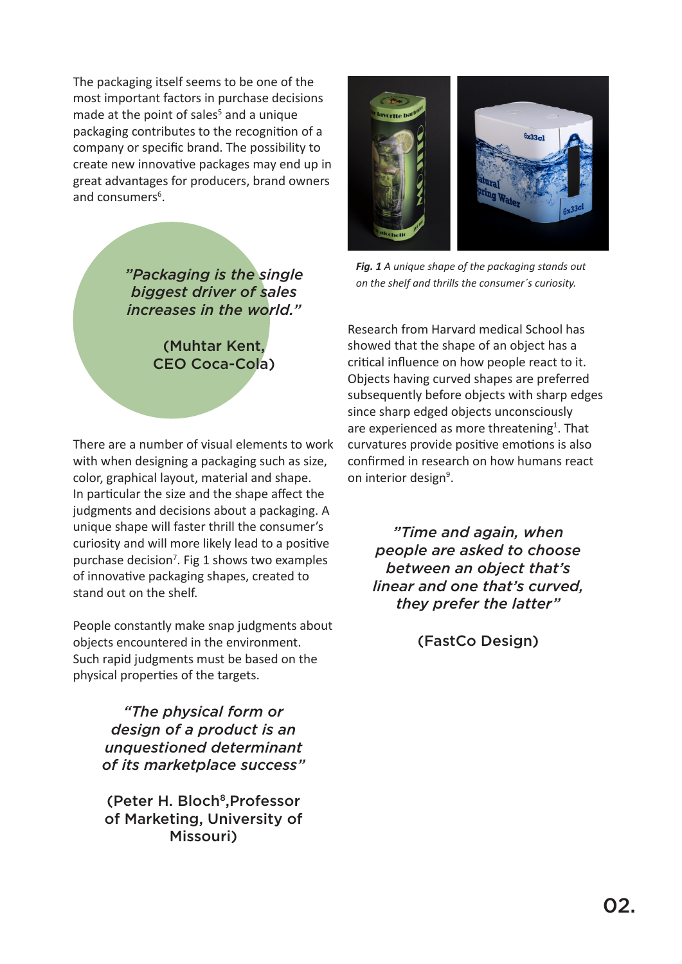The packaging itself seems to be one of the most important factors in purchase decisions made at the point of sales<sup>5</sup> and a unique packaging contributes to the recognition of a company or specific brand. The possibility to create new innovative packages may end up in great advantages for producers, brand owners and consumers<sup>6</sup>.

> *"Packaging is the single biggest driver of sales increases in the world."*

> > (Muhtar Kent, CEO Coca-Cola)

There are a number of visual elements to work with when designing a packaging such as size, color, graphical layout, material and shape. In particular the size and the shape affect the judgments and decisions about a packaging. A unique shape will faster thrill the consumer's curiosity and will more likely lead to a positive purchase decision<sup>7</sup>. Fig 1 shows two examples of innovative packaging shapes, created to stand out on the shelf.

People constantly make snap judgments about objects encountered in the environment. Such rapid judgments must be based on the physical properties of the targets.

> *"The physical form or design of a product is an unquestioned determinant of its marketplace success"*

(Peter H. Bloch<sup>8</sup>, Professor of Marketing, University of Missouri)



*Fig. 1 A unique shape of the packaging stands out on the shelf and thrills the consumer´s curiosity.*

Research from Harvard medical School has showed that the shape of an object has a critical influence on how people react to it. Objects having curved shapes are preferred subsequently before objects with sharp edges since sharp edged objects unconsciously are experienced as more threatening<sup>1</sup>. That curvatures provide positive emotions is also confirmed in research on how humans react on interior design<sup>9</sup>.

*"Time and again, when people are asked to choose between an object that's linear and one that's curved, they prefer the latter"* 

(FastCo Design)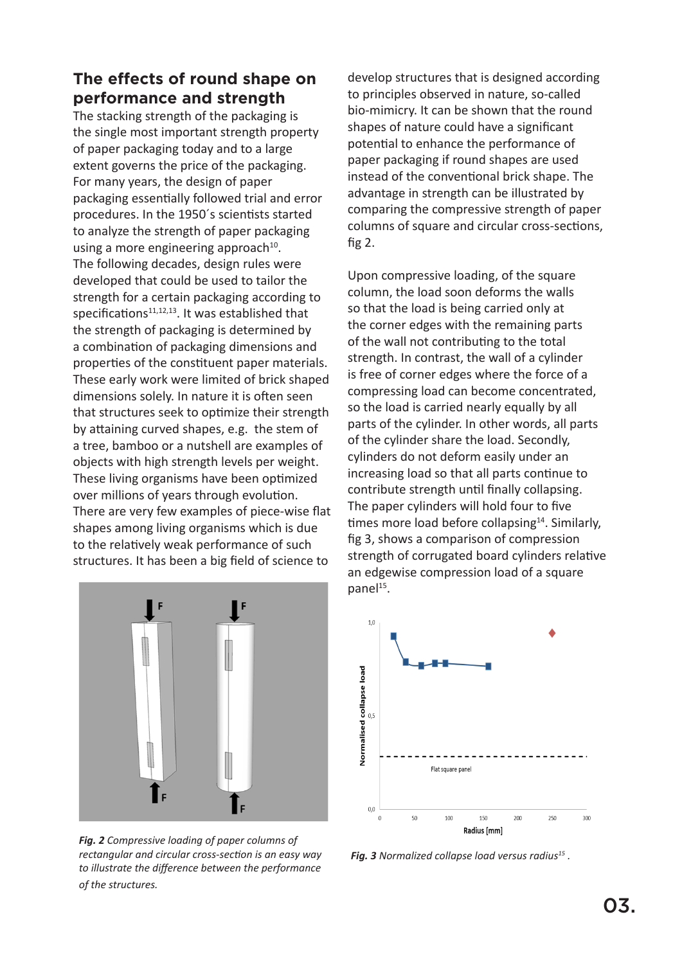## **The effects of round shape on performance and strength**

The stacking strength of the packaging is the single most important strength property of paper packaging today and to a large extent governs the price of the packaging. For many years, the design of paper packaging essentially followed trial and error procedures. In the 1950´s scientists started to analyze the strength of paper packaging using a more engineering approach $10$ . The following decades, design rules were developed that could be used to tailor the strength for a certain packaging according to specifications $11,12,13$ . It was established that the strength of packaging is determined by a combination of packaging dimensions and properties of the constituent paper materials. These early work were limited of brick shaped dimensions solely. In nature it is often seen that structures seek to optimize their strength by attaining curved shapes, e.g. the stem of a tree, bamboo or a nutshell are examples of objects with high strength levels per weight. These living organisms have been optimized over millions of years through evolution. There are very few examples of piece-wise flat shapes among living organisms which is due to the relatively weak performance of such structures. It has been a big field of science to



*Fig. 2 Compressive loading of paper columns of rectangular and circular cross-section is an easy way to illustrate the difference between the performance of the structures.*

develop structures that is designed according to principles observed in nature, so-called bio-mimicry. It can be shown that the round shapes of nature could have a significant potential to enhance the performance of paper packaging if round shapes are used instead of the conventional brick shape. The advantage in strength can be illustrated by comparing the compressive strength of paper columns of square and circular cross-sections, fig 2.

Upon compressive loading, of the square column, the load soon deforms the walls so that the load is being carried only at the corner edges with the remaining parts of the wall not contributing to the total strength. In contrast, the wall of a cylinder is free of corner edges where the force of a compressing load can become concentrated, so the load is carried nearly equally by all parts of the cylinder. In other words, all parts of the cylinder share the load. Secondly, cylinders do not deform easily under an increasing load so that all parts continue to contribute strength until finally collapsing. The paper cylinders will hold four to five times more load before collapsing<sup>14</sup>. Similarly, fig 3, shows a comparison of compression strength of corrugated board cylinders relative an edgewise compression load of a square panel<sup>15</sup>.



*Fig. 3 Normalized collapse load versus radius15 .*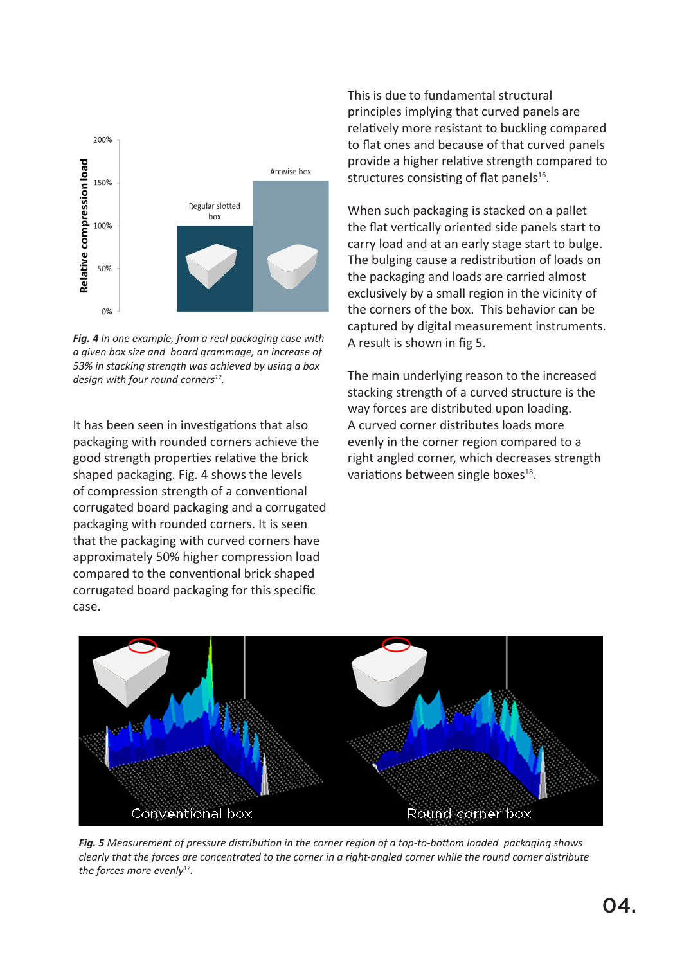

*Fig. 4 In one example, from a real packaging case with a given box size and board grammage, an increase of 53% in stacking strength was achieved by using a box design with four round corners12.* 

It has been seen in investigations that also packaging with rounded corners achieve the good strength properties relative the brick shaped packaging. Fig. 4 shows the levels of compression strength of a conventional corrugated board packaging and a corrugated packaging with rounded corners. It is seen that the packaging with curved corners have approximately 50% higher compression load compared to the conventional brick shaped corrugated board packaging for this specific case.

This is due to fundamental structural principles implying that curved panels are relatively more resistant to buckling compared to flat ones and because of that curved panels provide a higher relative strength compared to structures consisting of flat panels $16$ .

When such packaging is stacked on a pallet the flat vertically oriented side panels start to carry load and at an early stage start to bulge. The bulging cause a redistribution of loads on the packaging and loads are carried almost exclusively by a small region in the vicinity of the corners of the box. This behavior can be captured by digital measurement instruments. A result is shown in fig 5.

The main underlying reason to the increased stacking strength of a curved structure is the way forces are distributed upon loading. A curved corner distributes loads more evenly in the corner region compared to a right angled corner, which decreases strength variations between single boxes<sup>18</sup>.



*Fig. 5 Measurement of pressure distribution in the corner region of a top-to-bottom loaded packaging shows clearly that the forces are concentrated to the corner in a right-angled corner while the round corner distribute the forces more evenly17.*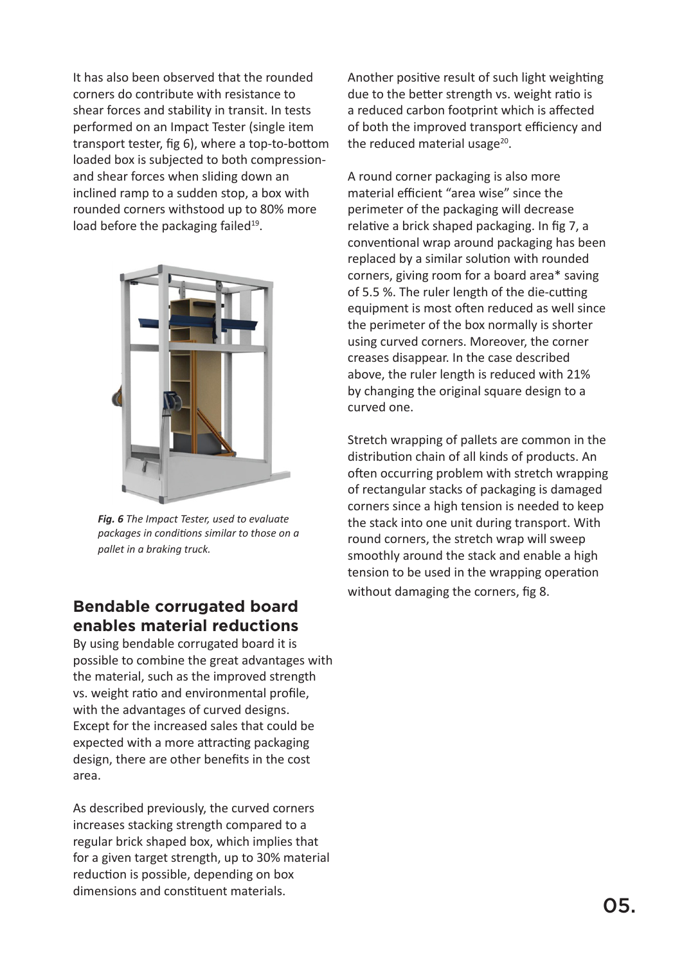It has also been observed that the rounded corners do contribute with resistance to shear forces and stability in transit. In tests performed on an Impact Tester (single item transport tester, fig 6), where a top-to-bottom loaded box is subjected to both compressionand shear forces when sliding down an inclined ramp to a sudden stop, a box with rounded corners withstood up to 80% more load before the packaging failed $19$ .



*Fig. 6 The Impact Tester, used to evaluate packages in conditions similar to those on a pallet in a braking truck.*

## **Bendable corrugated board enables material reductions**

By using bendable corrugated board it is possible to combine the great advantages with the material, such as the improved strength vs. weight ratio and environmental profile, with the advantages of curved designs. Except for the increased sales that could be expected with a more attracting packaging design, there are other benefits in the cost area.

As described previously, the curved corners increases stacking strength compared to a regular brick shaped box, which implies that for a given target strength, up to 30% material reduction is possible, depending on box dimensions and constituent materials.

Another positive result of such light weighting due to the better strength vs. weight ratio is a reduced carbon footprint which is affected of both the improved transport efficiency and the reduced material usage $^{20}$ .

A round corner packaging is also more material efficient "area wise" since the perimeter of the packaging will decrease relative a brick shaped packaging. In fig 7, a conventional wrap around packaging has been replaced by a similar solution with rounded corners, giving room for a board area\* saving of 5.5 %. The ruler length of the die-cutting equipment is most often reduced as well since the perimeter of the box normally is shorter using curved corners. Moreover, the corner creases disappear. In the case described above, the ruler length is reduced with 21% by changing the original square design to a curved one.

Stretch wrapping of pallets are common in the distribution chain of all kinds of products. An often occurring problem with stretch wrapping of rectangular stacks of packaging is damaged corners since a high tension is needed to keep the stack into one unit during transport. With round corners, the stretch wrap will sweep smoothly around the stack and enable a high tension to be used in the wrapping operation without damaging the corners, fig 8.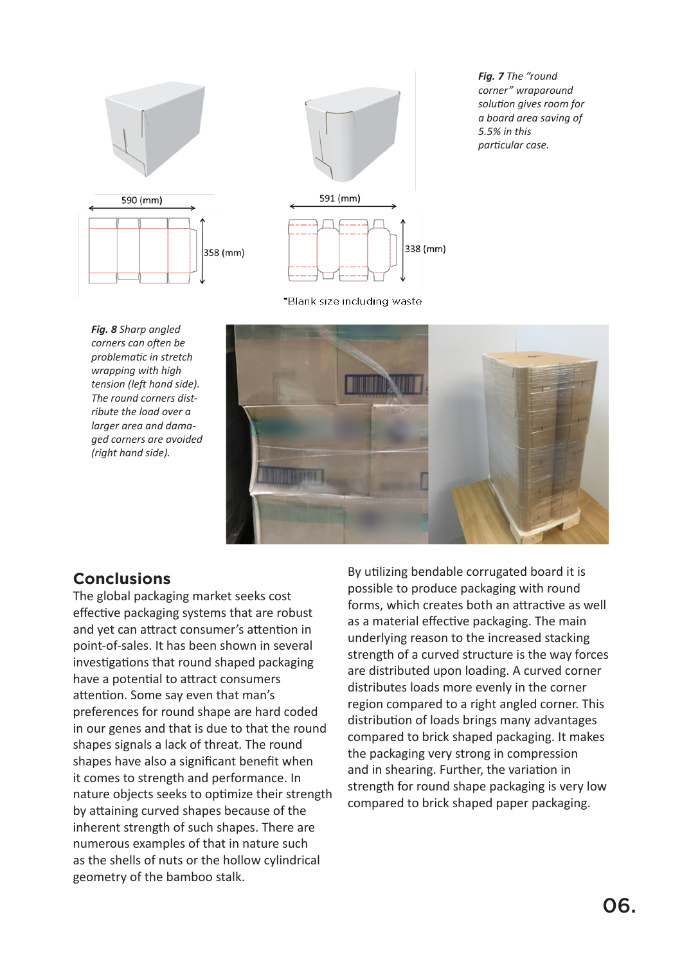



*Fig. 7 The "round corner" wraparound solution gives room for a board area saving of 5.5% in this particular case.*

\*Blank size including waste

*Fig. 8 Sharp angled corners can often be problematic in stretch wrapping with high tension (left hand side). The round corners distribute the load over a larger area and damaged corners are avoided (right hand side).* 



#### **Conclusions**

The global packaging market seeks cost effective packaging systems that are robust and yet can attract consumer's attention in point-of-sales. It has been shown in several investigations that round shaped packaging have a potential to attract consumers attention. Some say even that man's preferences for round shape are hard coded in our genes and that is due to that the round shapes signals a lack of threat. The round shapes have also a significant benefit when it comes to strength and performance. In nature objects seeks to optimize their strength by attaining curved shapes because of the inherent strength of such shapes. There are numerous examples of that in nature such as the shells of nuts or the hollow cylindrical geometry of the bamboo stalk.

By utilizing bendable corrugated board it is possible to produce packaging with round forms, which creates both an attractive as well as a material effective packaging. The main underlying reason to the increased stacking strength of a curved structure is the way forces are distributed upon loading. A curved corner distributes loads more evenly in the corner region compared to a right angled corner. This distribution of loads brings many advantages compared to brick shaped packaging. It makes the packaging very strong in compression and in shearing. Further, the variation in strength for round shape packaging is very low compared to brick shaped paper packaging.